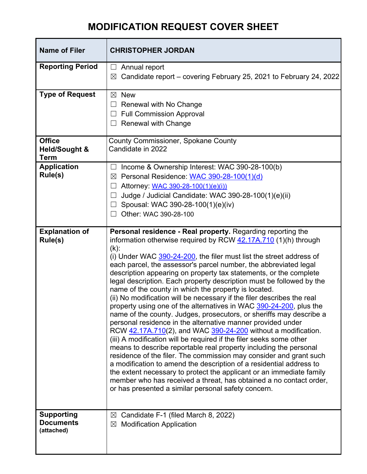## **MODIFICATION REQUEST COVER SHEET**

| <b>Name of Filer</b>                                     | <b>CHRISTOPHER JORDAN</b>                                                                                                                                                                                                                                                                                                                                                                                                                                                                                                                                                                                                                                                                                                                                                                                                                                                                                                                                                                                                                                                                                                                                                                                                                                                                                                                      |
|----------------------------------------------------------|------------------------------------------------------------------------------------------------------------------------------------------------------------------------------------------------------------------------------------------------------------------------------------------------------------------------------------------------------------------------------------------------------------------------------------------------------------------------------------------------------------------------------------------------------------------------------------------------------------------------------------------------------------------------------------------------------------------------------------------------------------------------------------------------------------------------------------------------------------------------------------------------------------------------------------------------------------------------------------------------------------------------------------------------------------------------------------------------------------------------------------------------------------------------------------------------------------------------------------------------------------------------------------------------------------------------------------------------|
| <b>Reporting Period</b>                                  | Annual report<br>$\Box$<br>Candidate report – covering February 25, 2021 to February 24, 2022<br>$\boxtimes$                                                                                                                                                                                                                                                                                                                                                                                                                                                                                                                                                                                                                                                                                                                                                                                                                                                                                                                                                                                                                                                                                                                                                                                                                                   |
| <b>Type of Request</b>                                   | <b>New</b><br>$\boxtimes$<br>Renewal with No Change<br>ப<br><b>Full Commission Approval</b><br>$\Box$<br><b>Renewal with Change</b>                                                                                                                                                                                                                                                                                                                                                                                                                                                                                                                                                                                                                                                                                                                                                                                                                                                                                                                                                                                                                                                                                                                                                                                                            |
| <b>Office</b><br><b>Held/Sought &amp;</b><br><b>Term</b> | <b>County Commissioner, Spokane County</b><br>Candidate in 2022                                                                                                                                                                                                                                                                                                                                                                                                                                                                                                                                                                                                                                                                                                                                                                                                                                                                                                                                                                                                                                                                                                                                                                                                                                                                                |
| <b>Application</b><br>Rule(s)                            | Income & Ownership Interest: WAC 390-28-100(b)<br>$\Box$<br>Personal Residence: WAC 390-28-100(1)(d)<br>$\boxtimes$<br>Attorney: WAC 390-28-100(1)(e)(i))<br>Judge / Judicial Candidate: WAC 390-28-100(1)(e)(ii)<br>Spousal: WAC 390-28-100(1)(e)(iv)<br>Other: WAC 390-28-100<br>$\Box$                                                                                                                                                                                                                                                                                                                                                                                                                                                                                                                                                                                                                                                                                                                                                                                                                                                                                                                                                                                                                                                      |
| <b>Explanation of</b><br>Rule(s)                         | Personal residence - Real property. Regarding reporting the<br>information otherwise required by RCW 42.17A.710 (1)(h) through<br>$(k)$ :<br>(i) Under WAC 390-24-200, the filer must list the street address of<br>each parcel, the assessor's parcel number, the abbreviated legal<br>description appearing on property tax statements, or the complete<br>legal description. Each property description must be followed by the<br>name of the county in which the property is located.<br>(ii) No modification will be necessary if the filer describes the real<br>property using one of the alternatives in WAC 390-24-200, plus the<br>name of the county. Judges, prosecutors, or sheriffs may describe a<br>personal residence in the alternative manner provided under<br>RCW 42.17A.710(2), and WAC 390-24-200 without a modification.<br>(iii) A modification will be required if the filer seeks some other<br>means to describe reportable real property including the personal<br>residence of the filer. The commission may consider and grant such<br>a modification to amend the description of a residential address to<br>the extent necessary to protect the applicant or an immediate family<br>member who has received a threat, has obtained a no contact order,<br>or has presented a similar personal safety concern. |
| <b>Supporting</b><br><b>Documents</b><br>(attached)      | $\boxtimes$ Candidate F-1 (filed March 8, 2022)<br>$\boxtimes$ Modification Application                                                                                                                                                                                                                                                                                                                                                                                                                                                                                                                                                                                                                                                                                                                                                                                                                                                                                                                                                                                                                                                                                                                                                                                                                                                        |